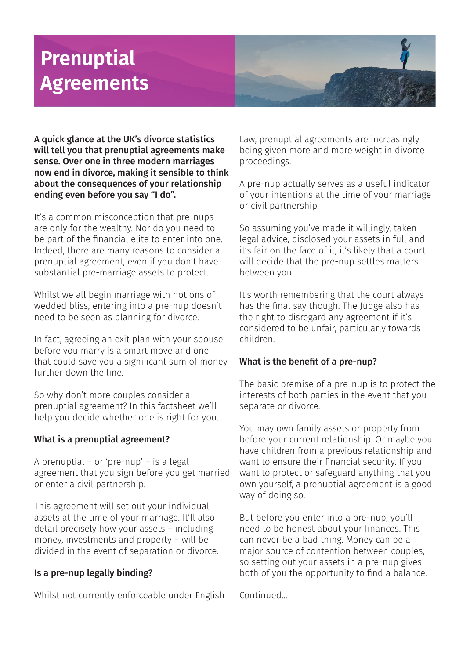# **Prenuptial Agreements**



A quick glance at the UK's divorce statistics will tell you that prenuptial agreements make sense. Over one in three modern marriages now end in divorce, making it sensible to think about the consequences of your relationship ending even before you say "I do".

It's a common misconception that pre-nups are only for the wealthy. Nor do you need to be part of the financial elite to enter into one. Indeed, there are many reasons to consider a prenuptial agreement, even if you don't have substantial pre-marriage assets to protect.

Whilst we all begin marriage with notions of wedded bliss, entering into a pre-nup doesn't need to be seen as planning for divorce.

In fact, agreeing an exit plan with your spouse before you marry is a smart move and one that could save you a significant sum of money further down the line.

So why don't more couples consider a prenuptial agreement? In this factsheet we'll help you decide whether one is right for you.

# What is a prenuptial agreement?

A prenuptial – or 'pre-nup' – is a legal agreement that you sign before you get married or enter a civil partnership.

This agreement will set out your individual assets at the time of your marriage. It'll also detail precisely how your assets – including money, investments and property – will be divided in the event of separation or divorce.

# Is a pre-nup legally binding?

Whilst not currently enforceable under English

Law, prenuptial agreements are increasingly being given more and more weight in divorce proceedings.

A pre-nup actually serves as a useful indicator of your intentions at the time of your marriage or civil partnership.

So assuming you've made it willingly, taken legal advice, disclosed your assets in full and it's fair on the face of it, it's likely that a court will decide that the pre-nup settles matters between you.

It's worth remembering that the court always has the final say though. The Judge also has the right to disregard any agreement if it's considered to be unfair, particularly towards children.

# What is the benefit of a pre-nup?

The basic premise of a pre-nup is to protect the interests of both parties in the event that you separate or divorce.

You may own family assets or property from before your current relationship. Or maybe you have children from a previous relationship and want to ensure their financial security. If you want to protect or safeguard anything that you own yourself, a prenuptial agreement is a good way of doing so.

But before you enter into a pre-nup, you'll need to be honest about your finances. This can never be a bad thing. Money can be a major source of contention between couples, so setting out your assets in a pre-nup gives both of you the opportunity to find a balance.

Continued...